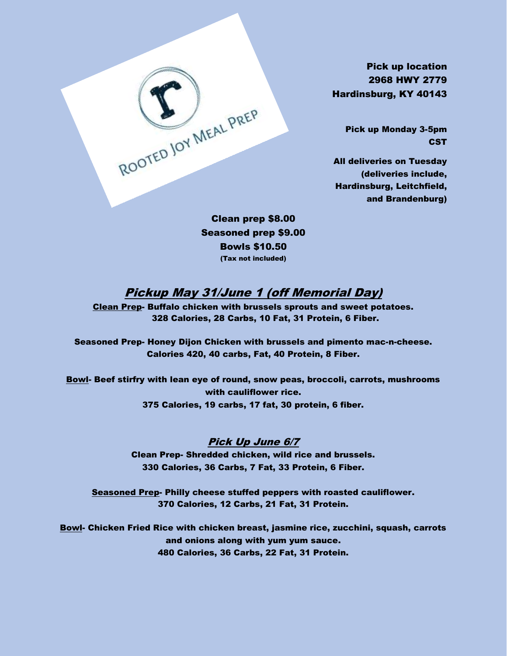Pick up location 2968 HWY 2779 Hardinsburg, KY 40143

> Pick up Monday 3-5pm **CST**

All deliveries on Tuesday (deliveries include, Hardinsburg, Leitchfield, and Brandenburg)

Clean prep \$8.00 Seasoned prep \$9.00 Bowls \$10.50 (Tax not included)

ROOTED JOY MEAL PREP

### Pickup May 31/June 1 (off Memorial Day)

Clean Prep- Buffalo chicken with brussels sprouts and sweet potatoes. 328 Calories, 28 Carbs, 10 Fat, 31 Protein, 6 Fiber.

Seasoned Prep- Honey Dijon Chicken with brussels and pimento mac-n-cheese. Calories 420, 40 carbs, Fat, 40 Protein, 8 Fiber.

Bowl- Beef stirfry with lean eye of round, snow peas, broccoli, carrots, mushrooms with cauliflower rice. 375 Calories, 19 carbs, 17 fat, 30 protein, 6 fiber.

### Pick Up June 6/7

Clean Prep- Shredded chicken, wild rice and brussels. 330 Calories, 36 Carbs, 7 Fat, 33 Protein, 6 Fiber.

Seasoned Prep- Philly cheese stuffed peppers with roasted cauliflower. 370 Calories, 12 Carbs, 21 Fat, 31 Protein.

Bowl- Chicken Fried Rice with chicken breast, jasmine rice, zucchini, squash, carrots and onions along with yum yum sauce. 480 Calories, 36 Carbs, 22 Fat, 31 Protein.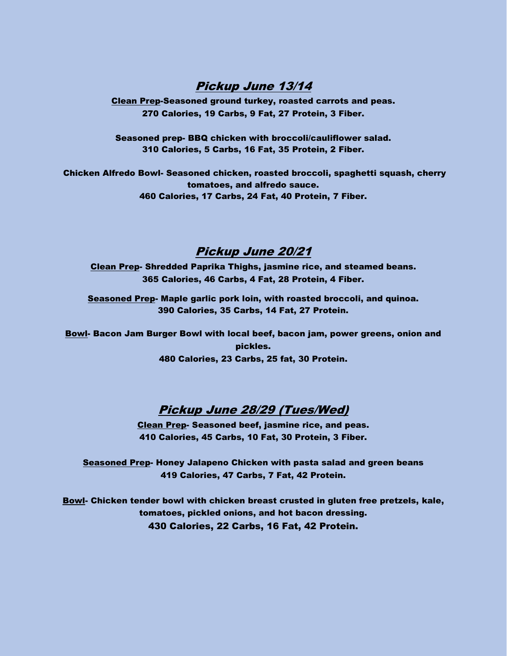### Pickup June 13/14

Clean Prep-Seasoned ground turkey, roasted carrots and peas. 270 Calories, 19 Carbs, 9 Fat, 27 Protein, 3 Fiber.

Seasoned prep- BBQ chicken with broccoli/cauliflower salad. 310 Calories, 5 Carbs, 16 Fat, 35 Protein, 2 Fiber.

Chicken Alfredo Bowl- Seasoned chicken, roasted broccoli, spaghetti squash, cherry tomatoes, and alfredo sauce. 460 Calories, 17 Carbs, 24 Fat, 40 Protein, 7 Fiber.

### Pickup June 20/21

Clean Prep- Shredded Paprika Thighs, jasmine rice, and steamed beans. 365 Calories, 46 Carbs, 4 Fat, 28 Protein, 4 Fiber.

Seasoned Prep- Maple garlic pork loin, with roasted broccoli, and quinoa. 390 Calories, 35 Carbs, 14 Fat, 27 Protein.

Bowl- Bacon Jam Burger Bowl with local beef, bacon jam, power greens, onion and pickles. 480 Calories, 23 Carbs, 25 fat, 30 Protein.

# Pickup June 28/29 (Tues/Wed)

Clean Prep- Seasoned beef, jasmine rice, and peas. 410 Calories, 45 Carbs, 10 Fat, 30 Protein, 3 Fiber.

Seasoned Prep- Honey Jalapeno Chicken with pasta salad and green beans 419 Calories, 47 Carbs, 7 Fat, 42 Protein.

Bowl- Chicken tender bowl with chicken breast crusted in gluten free pretzels, kale, tomatoes, pickled onions, and hot bacon dressing. 430 Calories, 22 Carbs, 16 Fat, 42 Protein.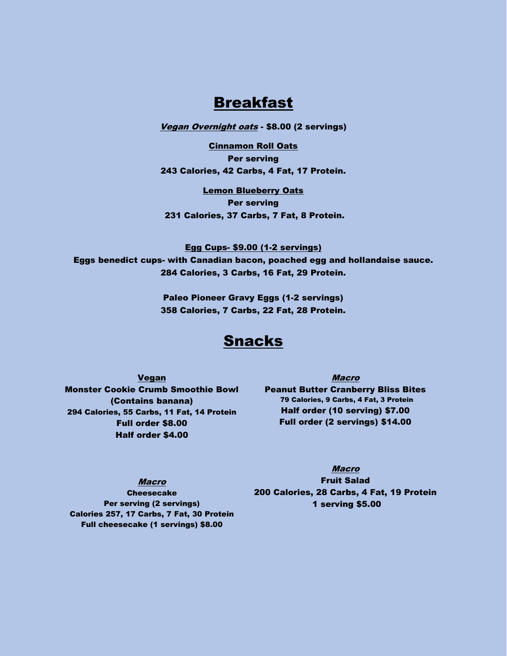# Breakfast

**Vegan Overnight oats - \$8.00 (2 servings)** 

Cinnamon Roll Oats Per serving 243 Calories, 42 Carbs, 4 Fat, 17 Protein.

Lemon Blueberry Oats Per serving 231 Calories, 37 Carbs, 7 Fat, 8 Protein.

Egg Cups- \$9.00 (1-2 servings) Eggs benedict cups- with Canadian bacon, poached egg and hollandaise sauce. 284 Calories, 3 Carbs, 16 Fat, 29 Protein.

> Paleo Pioneer Gravy Eggs (1-2 servings) 358 Calories, 7 Carbs, 22 Fat, 28 Protein.

# Snacks

Vegan Monster Cookie Crumb Smoothie Bowl (Contains banana) 294 Calories, 55 Carbs, 11 Fat, 14 Protein Full order \$8.00 Half order \$4.00

Macro Peanut Butter Cranberry Bliss Bites 79 Calories, 9 Carbs, 4 Fat, 3 Protein Half order (10 serving) \$7.00 Full order (2 servings) \$14.00

### Macro

Cheesecake Per serving (2 servings) Calories 257, 17 Carbs, 7 Fat, 30 Protein Full cheesecake (1 servings) \$8.00

Macro Fruit Salad 200 Calories, 28 Carbs, 4 Fat, 19 Protein 1 serving \$5.00